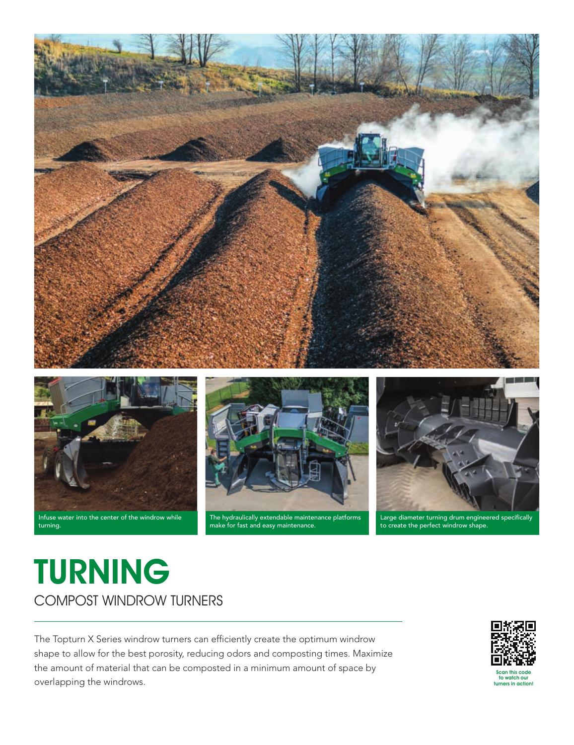

Infuse water into the center of the windrow while turning.



The hydraulically extendable maintenance platforms make for fast and easy maintenance.

Large diameter turning drum engineered specifically to create the perfect windrow shape.

# TURNING COMPOST WINDROW TURNERS

The Topturn X Series windrow turners can efficiently create the optimum windrow shape to allow for the best porosity, reducing odors and composting times. Maximize the amount of material that can be composted in a minimum amount of space by overlapping the windrows.



Scan this code to watch our turners in action!